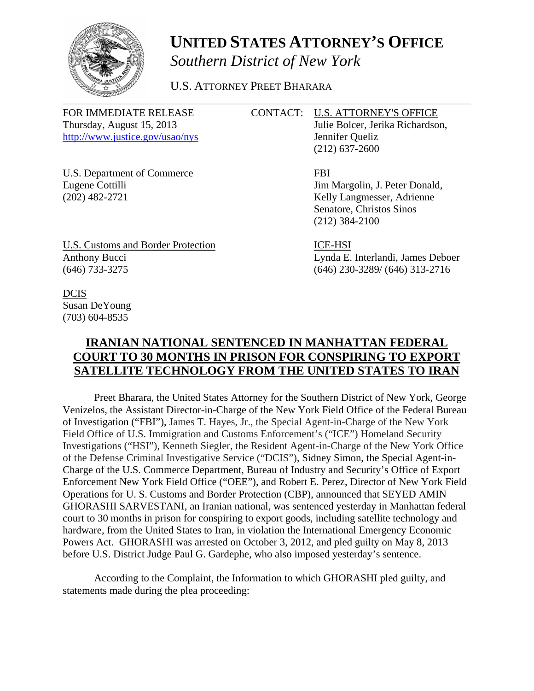

## **UNITED STATES ATTORNEY'S OFFICE** *Southern District of New York*

U.S. ATTORNEY PREET BHARARA

FOR IMMEDIATE RELEASE CONTACT: U.S. ATTORNEY'S OFFICE <http://www.justice.gov/usao/nys> Jennifer Queliz

Thursday, August 15, 2013 Julie Bolcer, Jerika Richardson, (212) 637-2600

U.S. Department of Commerce FBI Eugene Cottilli Jim Margolin, J. Peter Donald, (202) 482-2721 Kelly Langmesser, Adrienne

Senatore, Christos Sinos (212) 384-2100

U.S. Customs and Border Protection ICE-HSI Anthony Bucci Lynda E. Interlandi, James Deboer<br>
(646) 733-3275 (646) 230-3289/(646) 313-2716

(646) 733-3275 (646) 230-3289/ (646) 313-2716

DCIS Susan DeYoung (703) 604-8535

## **IRANIAN NATIONAL SENTENCED IN MANHATTAN FEDERAL COURT TO 30 MONTHS IN PRISON FOR CONSPIRING TO EXPORT SATELLITE TECHNOLOGY FROM THE UNITED STATES TO IRAN**

Preet Bharara, the United States Attorney for the Southern District of New York, George Venizelos, the Assistant Director-in-Charge of the New York Field Office of the Federal Bureau of Investigation ("FBI"), James T. Hayes, Jr., the Special Agent-in-Charge of the New York Field Office of U.S. Immigration and Customs Enforcement's ("ICE") Homeland Security Investigations ("HSI"), Kenneth Siegler, the Resident Agent-in-Charge of the New York Office of the Defense Criminal Investigative Service ("DCIS"), Sidney Simon, the Special Agent-in-Charge of the U.S. Commerce Department, Bureau of Industry and Security's Office of Export Enforcement New York Field Office ("OEE"), and Robert E. Perez, Director of New York Field Operations for U. S. Customs and Border Protection (CBP), announced that SEYED AMIN GHORASHI SARVESTANI, an Iranian national, was sentenced yesterday in Manhattan federal court to 30 months in prison for conspiring to export goods, including satellite technology and hardware, from the United States to Iran, in violation the International Emergency Economic Powers Act. GHORASHI was arrested on October 3, 2012, and pled guilty on May 8, 2013 before U.S. District Judge Paul G. Gardephe, who also imposed yesterday's sentence.

According to the Complaint, the Information to which GHORASHI pled guilty, and statements made during the plea proceeding: